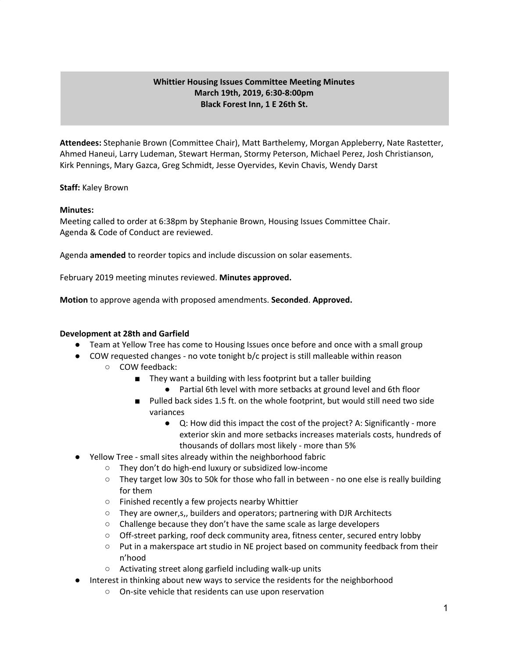# **Whittier Housing Issues Committee Meeting Minutes March 19th, 2019, 6:30-8:00pm Black Forest Inn, 1 E 26th St.**

**Attendees:** Stephanie Brown (Committee Chair), Matt Barthelemy, Morgan Appleberry, Nate Rastetter, Ahmed Haneui, Larry Ludeman, Stewart Herman, Stormy Peterson, Michael Perez, Josh Christianson, Kirk Pennings, Mary Gazca, Greg Schmidt, Jesse Oyervides, Kevin Chavis, Wendy Darst

## **Staff:** Kaley Brown

## **Minutes:**

Meeting called to order at 6:38pm by Stephanie Brown, Housing Issues Committee Chair. Agenda & Code of Conduct are reviewed.

Agenda **amended** to reorder topics and include discussion on solar easements.

February 2019 meeting minutes reviewed. **Minutes approved.**

**Motion** to approve agenda with proposed amendments. **Seconded**. **Approved.**

# **Development at 28th and Garfield**

- Team at Yellow Tree has come to Housing Issues once before and once with a small group
- COW requested changes no vote tonight b/c project is still malleable within reason
	- COW feedback:
		- They want a building with less footprint but a taller building
			- Partial 6th level with more setbacks at ground level and 6th floor
		- Pulled back sides 1.5 ft. on the whole footprint, but would still need two side variances
			- Q: How did this impact the cost of the project? A: Significantly more exterior skin and more setbacks increases materials costs, hundreds of thousands of dollars most likely - more than 5%
- Yellow Tree small sites already within the neighborhood fabric
	- They don't do high-end luxury or subsidized low-income
	- They target low 30s to 50k for those who fall in between no one else is really building for them
	- Finished recently a few projects nearby Whittier
	- They are owner,s,, builders and operators; partnering with DJR Architects
	- Challenge because they don't have the same scale as large developers
	- Off-street parking, roof deck community area, fitness center, secured entry lobby
	- Put in a makerspace art studio in NE project based on community feedback from their n'hood
	- Activating street along garfield including walk-up units
- Interest in thinking about new ways to service the residents for the neighborhood
	- On-site vehicle that residents can use upon reservation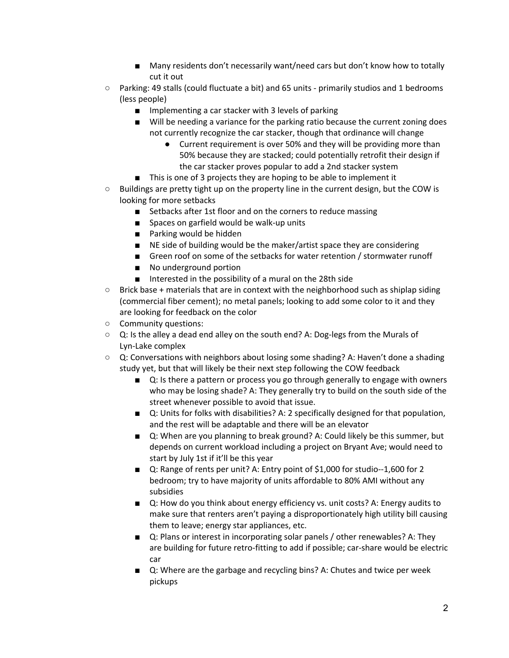- Many residents don't necessarily want/need cars but don't know how to totally cut it out
- Parking: 49 stalls (could fluctuate a bit) and 65 units primarily studios and 1 bedrooms (less people)
	- Implementing a car stacker with 3 levels of parking
	- Will be needing a variance for the parking ratio because the current zoning does not currently recognize the car stacker, though that ordinance will change
		- Current requirement is over 50% and they will be providing more than 50% because they are stacked; could potentially retrofit their design if the car stacker proves popular to add a 2nd stacker system
	- This is one of 3 projects they are hoping to be able to implement it
- Buildings are pretty tight up on the property line in the current design, but the COW is looking for more setbacks
	- Setbacks after 1st floor and on the corners to reduce massing
	- Spaces on garfield would be walk-up units
	- Parking would be hidden
	- NE side of building would be the maker/artist space they are considering
	- Green roof on some of the setbacks for water retention / stormwater runoff
	- No underground portion
	- Interested in the possibility of a mural on the 28th side
- Brick base + materials that are in context with the neighborhood such as shiplap siding (commercial fiber cement); no metal panels; looking to add some color to it and they are looking for feedback on the color
- Community questions:
- $\circ$  Q: Is the alley a dead end alley on the south end? A: Dog-legs from the Murals of Lyn-Lake complex
- $\circ$  Q: Conversations with neighbors about losing some shading? A: Haven't done a shading study yet, but that will likely be their next step following the COW feedback
	- Q: Is there a pattern or process you go through generally to engage with owners who may be losing shade? A: They generally try to build on the south side of the street whenever possible to avoid that issue.
	- Q: Units for folks with disabilities? A: 2 specifically designed for that population, and the rest will be adaptable and there will be an elevator
	- Q: When are you planning to break ground? A: Could likely be this summer, but depends on current workload including a project on Bryant Ave; would need to start by July 1st if it'll be this year
	- Q: Range of rents per unit? A: Entry point of \$1,000 for studio--1,600 for 2 bedroom; try to have majority of units affordable to 80% AMI without any subsidies
	- Q: How do you think about energy efficiency vs. unit costs? A: Energy audits to make sure that renters aren't paying a disproportionately high utility bill causing them to leave; energy star appliances, etc.
	- Q: Plans or interest in incorporating solar panels / other renewables? A: They are building for future retro-fitting to add if possible; car-share would be electric car
	- Q: Where are the garbage and recycling bins? A: Chutes and twice per week pickups